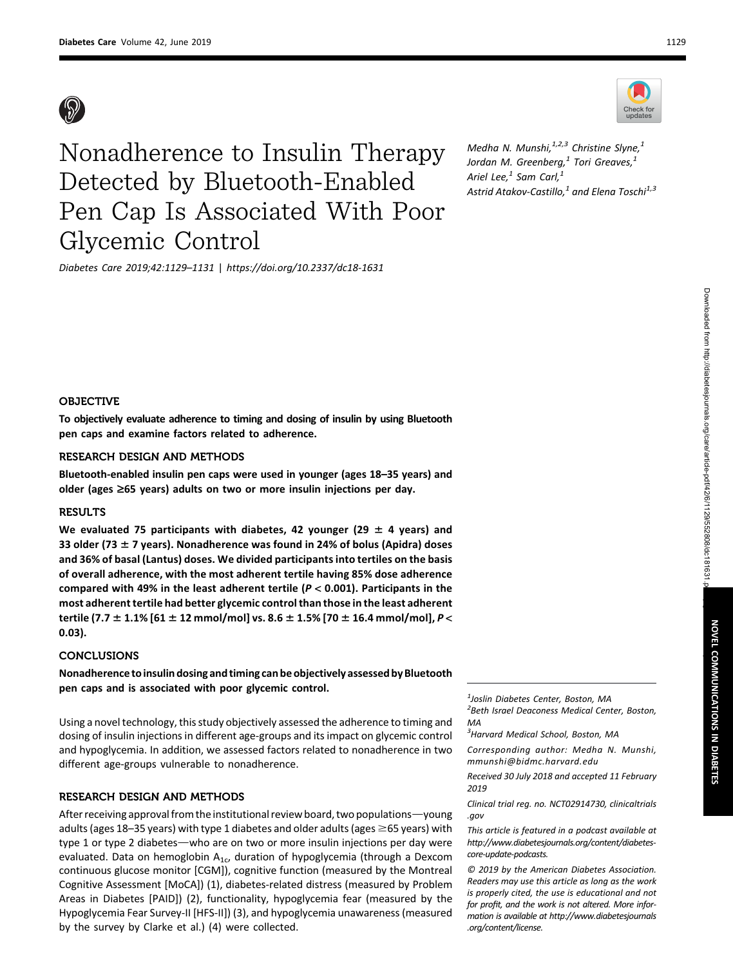



Medha N. Munshi, $^{1,2,3}$  Christine Slyne, $^{1}$ Jordan M. Greenberg, $^1$  Tori Greaves, $^1$ Ariel Lee, $<sup>1</sup>$  Sam Carl, $<sup>1</sup>$ </sup></sup> Astrid Atakov-Castillo, $^{1}$  and Elena Toschi $^{1,3}$ 

Diabetes Care 2019;42:1129–1131 | <https://doi.org/10.2337/dc18-1631>

## OBJECTIVE

To objectively evaluate adherence to timing and dosing of insulin by using Bluetooth pen caps and examine factors related to adherence.

### RESEARCH DESIGN AND METHODS

Bluetooth-enabled insulin pen caps were used in younger (ages 18–35 years) and older (ages  $\geq$ 65 years) adults on two or more insulin injections per day.

#### **RESULTS**

We evaluated 75 participants with diabetes, 42 younger (29  $\pm$  4 years) and 33 older (73  $\pm$  7 years). Nonadherence was found in 24% of bolus (Apidra) doses and 36% of basal (Lantus) doses. We divided participants into tertiles on the basis of overall adherence, with the most adherent tertile having 85% dose adherence compared with 49% in the least adherent tertile ( $P < 0.001$ ). Participants in the most adherent tertile had better glycemic control than those in the least adherent tertile (7.7  $\pm$  1.1% [61  $\pm$  12 mmol/mol] vs. 8.6  $\pm$  1.5% [70  $\pm$  16.4 mmol/mol], P < 0.03).

## **CONCLUSIONS**

Nonadherence to insulin dosing and timing can be objectively assessed by Bluetooth pen caps and is associated with poor glycemic control.

Using a novel technology, this study objectively assessed the adherence to timing and dosing of insulin injections in different age-groups and its impact on glycemic control and hypoglycemia. In addition, we assessed factors related to nonadherence in two different age-groups vulnerable to nonadherence.

#### RESEARCH DESIGN AND METHODS

After receiving approval from the institutional review board, two populations—young adults (ages 18–35 years) with type 1 diabetes and older adults (ages  $\geq$  65 years) with type 1 or type 2 diabetes—who are on two or more insulin injections per day were evaluated. Data on hemoglobin  $A_{1c}$ , duration of hypoglycemia (through a Dexcom continuous glucose monitor [CGM]), cognitive function (measured by the Montreal Cognitive Assessment [MoCA]) (1), diabetes-related distress (measured by Problem Areas in Diabetes [PAID]) (2), functionality, hypoglycemia fear (measured by the Hypoglycemia Fear Survey-II [HFS-II]) (3), and hypoglycemia unawareness (measured by the survey by Clarke et al.) (4) were collected.

1 Joslin Diabetes Center, Boston, MA

<sup>2</sup> Beth Israel Deaconess Medical Center, Boston, MA

<sup>3</sup>Harvard Medical School, Boston, MA

Corresponding author: Medha N. Munshi, [mmunshi@bidmc.harvard.edu](mailto:mmunshi@bidmc.harvard.edu)

Received 30 July 2018 and accepted 11 February 2019

Clinical trial reg. no. NCT02914730, [clinicaltrials](http://www.clinicaltrials.gov) [.gov](http://www.clinicaltrials.gov)

This article is featured in a podcast available at [http://www.diabetesjournals.org/content/diabetes](http://www.diabetesjournals.org/content/diabetes-core-update-podcasts)[core-update-podcasts](http://www.diabetesjournals.org/content/diabetes-core-update-podcasts).

© 2019 by the American Diabetes Association. Readers may use this article as long as the work is properly cited, the use is educational and not for profit, and the work is not altered. More information is available at [http://www.diabetesjournals](http://www.diabetesjournals.org/content/license) [.org/content/license](http://www.diabetesjournals.org/content/license).

Check for

NOVEL

COMMUNICATIONS

Z

DIABETES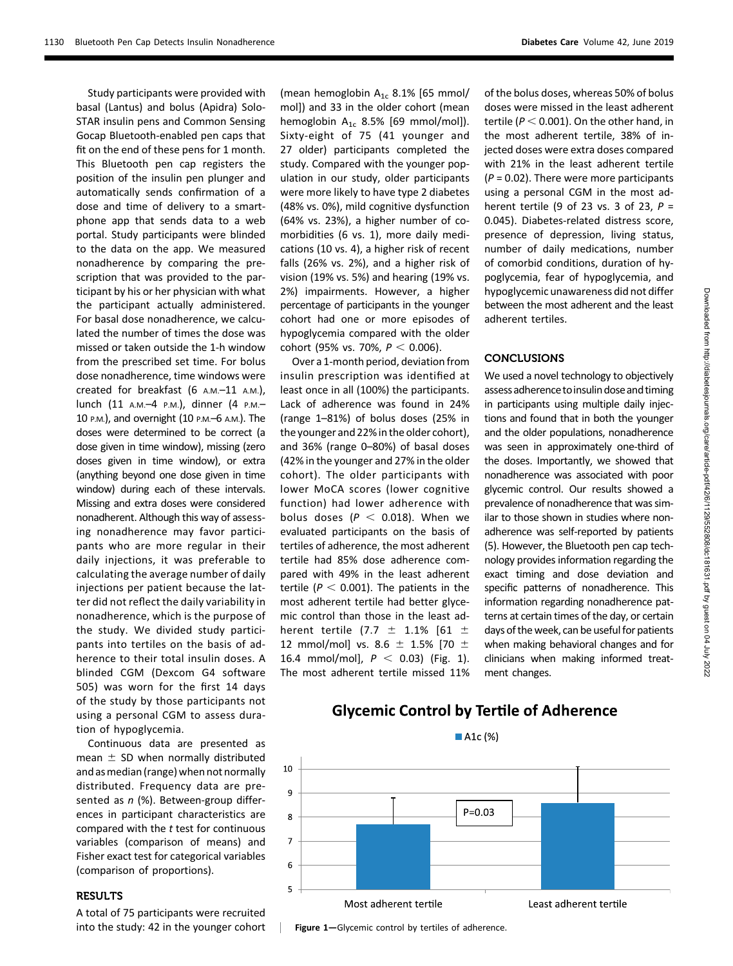Study participants were provided with basal (Lantus) and bolus (Apidra) Solo-STAR insulin pens and Common Sensing Gocap Bluetooth-enabled pen caps that fit on the end of these pens for 1 month. This Bluetooth pen cap registers the position of the insulin pen plunger and automatically sends confirmation of a dose and time of delivery to a smartphone app that sends data to a web portal. Study participants were blinded to the data on the app. We measured nonadherence by comparing the prescription that was provided to the participant by his or her physician with what the participant actually administered. For basal dose nonadherence, we calculated the number of times the dose was missed or taken outside the 1-h window from the prescribed set time. For bolus dose nonadherence, time windows were created for breakfast (6 A.M.-11 A.M.), lunch (11 A.M.–4 P.M.), dinner (4 P.M.– 10 P.M.), and overnight (10 P.M.–6 A.M.). The doses were determined to be correct (a dose given in time window), missing (zero doses given in time window), or extra (anything beyond one dose given in time window) during each of these intervals. Missing and extra doses were considered nonadherent. Although this way of assessing nonadherence may favor participants who are more regular in their daily injections, it was preferable to calculating the average number of daily injections per patient because the latter did not reflect the daily variability in nonadherence, which is the purpose of the study. We divided study participants into tertiles on the basis of adherence to their total insulin doses. A blinded CGM (Dexcom G4 software 505) was worn for the first 14 days of the study by those participants not using a personal CGM to assess duration of hypoglycemia.

Continuous data are presented as mean  $\pm$  SD when normally distributed and asmedian (range) when not normally distributed. Frequency data are presented as  $n$  (%). Between-group differences in participant characteristics are compared with the  $t$  test for continuous variables (comparison of means) and Fisher exact test for categorical variables (comparison of proportions).

#### **RESULTS**

A total of 75 participants were recruited into the study: 42 in the younger cohort

(mean hemoglobin  $A_{1c}$  8.1% [65 mmol/ mol]) and 33 in the older cohort (mean hemoglobin  $A_{1c}$  8.5% [69 mmol/mol]). Sixty-eight of 75 (41 younger and 27 older) participants completed the study. Compared with the younger population in our study, older participants were more likely to have type 2 diabetes (48% vs. 0%), mild cognitive dysfunction (64% vs. 23%), a higher number of comorbidities (6 vs. 1), more daily medications (10 vs. 4), a higher risk of recent falls (26% vs. 2%), and a higher risk of vision (19% vs. 5%) and hearing (19% vs. 2%) impairments. However, a higher percentage of participants in the younger cohort had one or more episodes of hypoglycemia compared with the older cohort (95% vs. 70%,  $P < 0.006$ ).

Over a 1-month period, deviation from insulin prescription was identified at least once in all (100%) the participants. Lack of adherence was found in 24% (range 1–81%) of bolus doses (25% in the younger and 22% in the older cohort), and 36% (range 0–80%) of basal doses (42% in the younger and 27% in the older cohort). The older participants with lower MoCA scores (lower cognitive function) had lower adherence with bolus doses ( $P < 0.018$ ). When we evaluated participants on the basis of tertiles of adherence, the most adherent tertile had 85% dose adherence compared with 49% in the least adherent tertile ( $P < 0.001$ ). The patients in the most adherent tertile had better glycemic control than those in the least adherent tertile (7.7  $\pm$  1.1% [61  $\pm$ 12 mmol/mol] vs. 8.6  $\pm$  1.5% [70  $\pm$ 16.4 mmol/mol],  $P < 0.03$ ) (Fig. 1). The most adherent tertile missed 11%

of the bolus doses, whereas 50% of bolus doses were missed in the least adherent tertile ( $P < 0.001$ ). On the other hand, in the most adherent tertile, 38% of injected doses were extra doses compared with 21% in the least adherent tertile  $(P = 0.02)$ . There were more participants using a personal CGM in the most adherent tertile (9 of 23 vs. 3 of 23,  $P =$ 0.045). Diabetes-related distress score, presence of depression, living status, number of daily medications, number of comorbid conditions, duration of hypoglycemia, fear of hypoglycemia, and hypoglycemic unawareness did not differ between the most adherent and the least adherent tertiles.

## **CONCLUSIONS**

We used a novel technology to objectively assess adherence to insulin dose and timing in participants using multiple daily injections and found that in both the younger and the older populations, nonadherence was seen in approximately one-third of the doses. Importantly, we showed that nonadherence was associated with poor glycemic control. Our results showed a prevalence of nonadherence that was similar to those shown in studies where nonadherence was self-reported by patients (5). However, the Bluetooth pen cap technology provides information regarding the exact timing and dose deviation and specific patterns of nonadherence. This information regarding nonadherence patterns at certain times of the day, or certain days of the week, can be useful for patients when making behavioral changes and for clinicians when making informed treatment changes.

# **Glycemic Control by Tertile of Adherence**